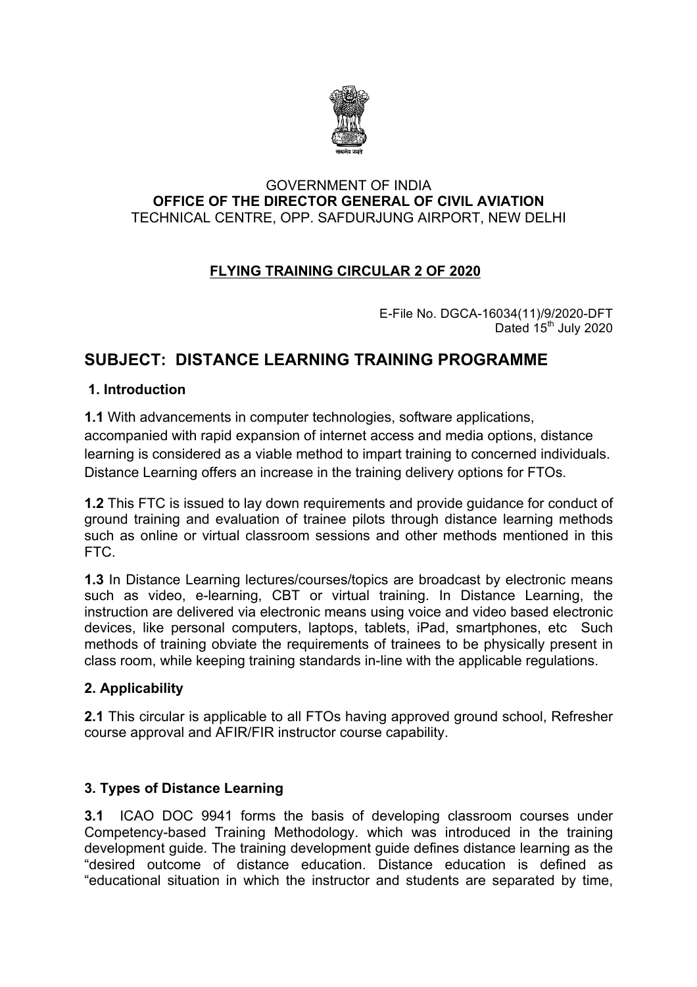

#### GOVERNMENT OF INDIA **OFFICE OF THE DIRECTOR GENERAL OF CIVIL AVIATION** TECHNICAL CENTRE, OPP. SAFDURJUNG AIRPORT, NEW DELHI

## **FLYING TRAINING CIRCULAR 2 OF 2020**

E-File No. DGCA-16034(11)/9/2020-DFT Dated 15<sup>th</sup> July 2020

# **SUBJECT: DISTANCE LEARNING TRAINING PROGRAMME**

#### **1. Introduction**

**1.1** With advancements in computer technologies, software applications, accompanied with rapid expansion of internet access and media options, distance learning is considered as a viable method to impart training to concerned individuals. Distance Learning offers an increase in the training delivery options for FTOs.

**1.2** This FTC is issued to lay down requirements and provide guidance for conduct of ground training and evaluation of trainee pilots through distance learning methods such as online or virtual classroom sessions and other methods mentioned in this FTC.

**1.3** In Distance Learning lectures/courses/topics are broadcast by electronic means such as video, e-learning, CBT or virtual training. In Distance Learning, the instruction are delivered via electronic means using voice and video based electronic devices, like personal computers, laptops, tablets, iPad, smartphones, etc Such methods of training obviate the requirements of trainees to be physically present in class room, while keeping training standards in-line with the applicable regulations.

## **2. Applicability**

**2.1** This circular is applicable to all FTOs having approved ground school, Refresher course approval and AFIR/FIR instructor course capability.

## **3. Types of Distance Learning**

**3.1** ICAO DOC 9941 forms the basis of developing classroom courses under Competency-based Training Methodology. which was introduced in the training development guide. The training development guide defines distance learning as the "desired outcome of distance education. Distance education is defined as "educational situation in which the instructor and students are separated by time,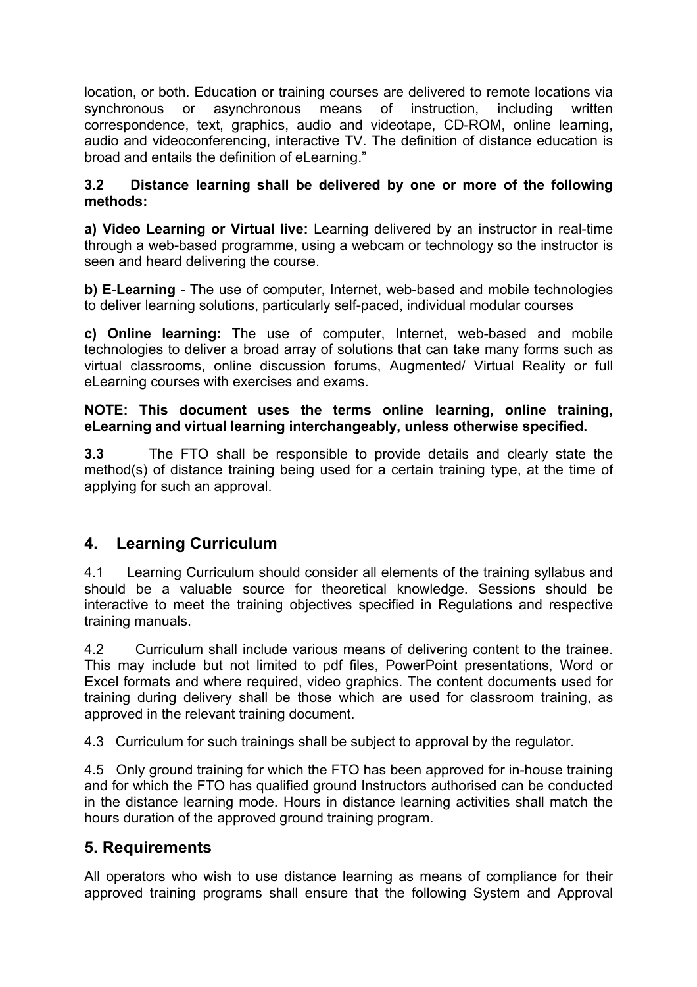location, or both. Education or training courses are delivered to remote locations via synchronous or asynchronous means of instruction, including written correspondence, text, graphics, audio and videotape, CD-ROM, online learning, audio and videoconferencing, interactive TV. The definition of distance education is broad and entails the definition of eLearning."

### **3.2 Distance learning shall be delivered by one or more of the following methods:**

**a) Video Learning or Virtual live:** Learning delivered by an instructor in real-time through a web-based programme, using a webcam or technology so the instructor is seen and heard delivering the course.

**b) E-Learning -** The use of computer, Internet, web-based and mobile technologies to deliver learning solutions, particularly self-paced, individual modular courses

**c) Online learning:** The use of computer, Internet, web-based and mobile technologies to deliver a broad array of solutions that can take many forms such as virtual classrooms, online discussion forums, Augmented/ Virtual Reality or full eLearning courses with exercises and exams.

#### **NOTE: This document uses the terms online learning, online training, eLearning and virtual learning interchangeably, unless otherwise specified.**

**3.3** The FTO shall be responsible to provide details and clearly state the method(s) of distance training being used for a certain training type, at the time of applying for such an approval.

# **4. Learning Curriculum**

4.1 Learning Curriculum should consider all elements of the training syllabus and should be a valuable source for theoretical knowledge. Sessions should be interactive to meet the training objectives specified in Regulations and respective training manuals.

4.2 Curriculum shall include various means of delivering content to the trainee. This may include but not limited to pdf files, PowerPoint presentations, Word or Excel formats and where required, video graphics. The content documents used for training during delivery shall be those which are used for classroom training, as approved in the relevant training document.

4.3 Curriculum for such trainings shall be subject to approval by the regulator.

4.5 Only ground training for which the FTO has been approved for in-house training and for which the FTO has qualified ground Instructors authorised can be conducted in the distance learning mode. Hours in distance learning activities shall match the hours duration of the approved ground training program.

# **5. Requirements**

All operators who wish to use distance learning as means of compliance for their approved training programs shall ensure that the following System and Approval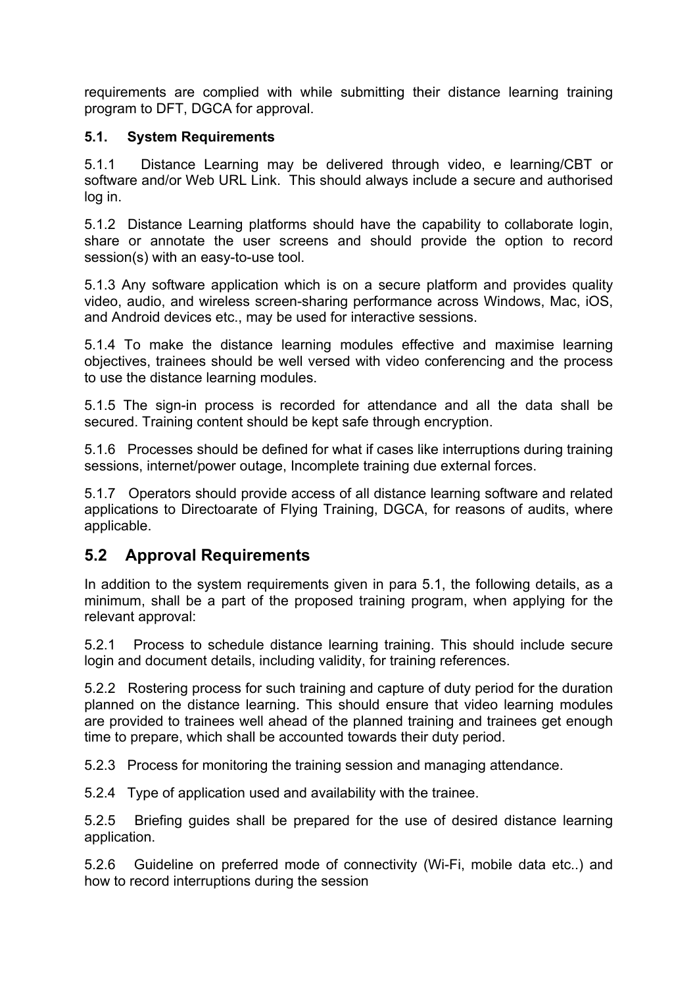requirements are complied with while submitting their distance learning training program to DFT, DGCA for approval.

## **5.1. System Requirements**

5.1.1 Distance Learning may be delivered through video, e learning/CBT or software and/or Web URL Link. This should always include a secure and authorised log in.

5.1.2 Distance Learning platforms should have the capability to collaborate login, share or annotate the user screens and should provide the option to record session(s) with an easy-to-use tool.

5.1.3 Any software application which is on a secure platform and provides quality video, audio, and wireless screen-sharing performance across Windows, Mac, iOS, and Android devices etc., may be used for interactive sessions.

5.1.4 To make the distance learning modules effective and maximise learning objectives, trainees should be well versed with video conferencing and the process to use the distance learning modules.

5.1.5 The sign-in process is recorded for attendance and all the data shall be secured. Training content should be kept safe through encryption.

5.1.6 Processes should be defined for what if cases like interruptions during training sessions, internet/power outage, Incomplete training due external forces.

5.1.7 Operators should provide access of all distance learning software and related applications to Directoarate of Flying Training, DGCA, for reasons of audits, where applicable.

# **5.2 Approval Requirements**

In addition to the system requirements given in para 5.1, the following details, as a minimum, shall be a part of the proposed training program, when applying for the relevant approval:

5.2.1 Process to schedule distance learning training. This should include secure login and document details, including validity, for training references.

5.2.2 Rostering process for such training and capture of duty period for the duration planned on the distance learning. This should ensure that video learning modules are provided to trainees well ahead of the planned training and trainees get enough time to prepare, which shall be accounted towards their duty period.

5.2.3 Process for monitoring the training session and managing attendance.

5.2.4 Type of application used and availability with the trainee.

5.2.5 Briefing guides shall be prepared for the use of desired distance learning application.

5.2.6 Guideline on preferred mode of connectivity (Wi-Fi, mobile data etc..) and how to record interruptions during the session